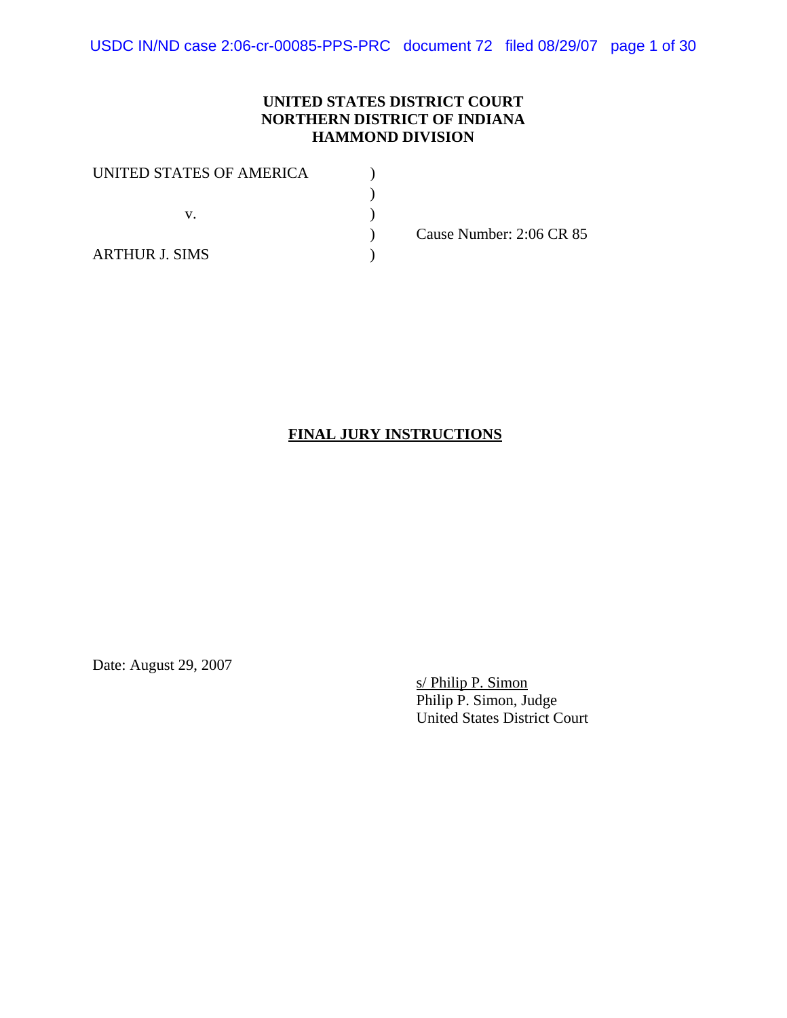### **UNITED STATES DISTRICT COURT NORTHERN DISTRICT OF INDIANA HAMMOND DIVISION**

| UNITED STATES OF AMERICA |                          |
|--------------------------|--------------------------|
|                          |                          |
|                          |                          |
|                          | Cause Number: 2:06 CR 85 |
| <b>ARTHUR J. SIMS</b>    |                          |

# **FINAL JURY INSTRUCTIONS**

Date: August 29, 2007

s/ Philip P. Simon Philip P. Simon, Judge United States District Court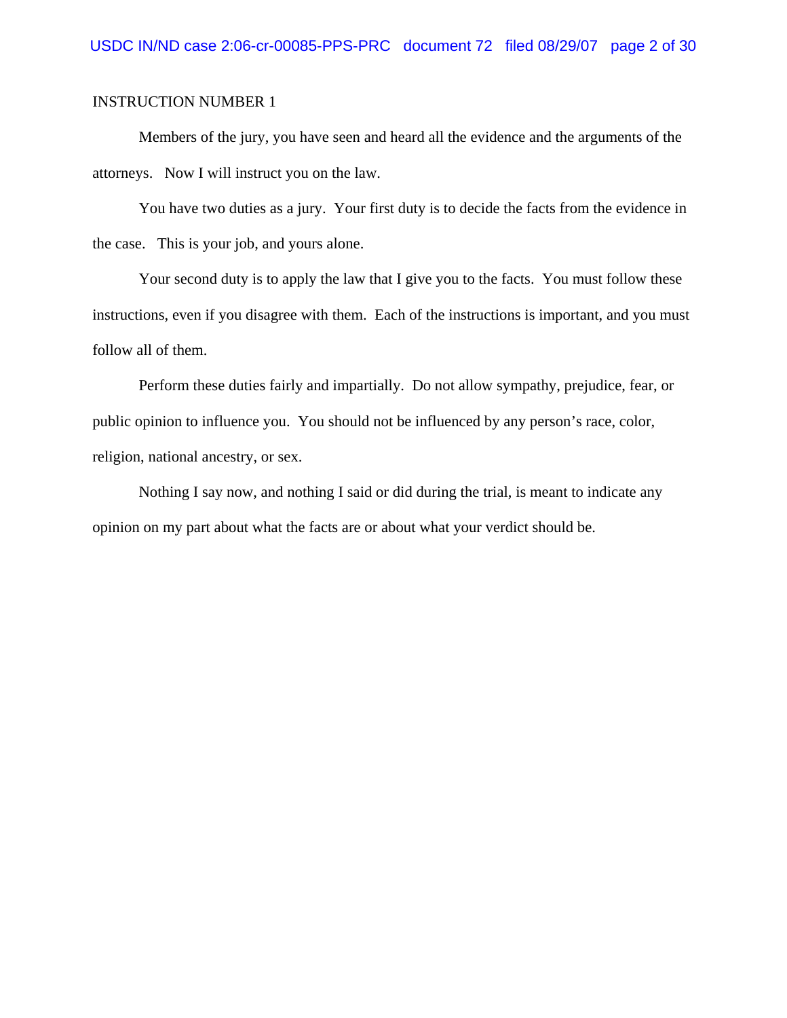Members of the jury, you have seen and heard all the evidence and the arguments of the attorneys. Now I will instruct you on the law.

You have two duties as a jury. Your first duty is to decide the facts from the evidence in the case. This is your job, and yours alone.

Your second duty is to apply the law that I give you to the facts. You must follow these instructions, even if you disagree with them. Each of the instructions is important, and you must follow all of them.

Perform these duties fairly and impartially. Do not allow sympathy, prejudice, fear, or public opinion to influence you. You should not be influenced by any person's race, color, religion, national ancestry, or sex.

Nothing I say now, and nothing I said or did during the trial, is meant to indicate any opinion on my part about what the facts are or about what your verdict should be.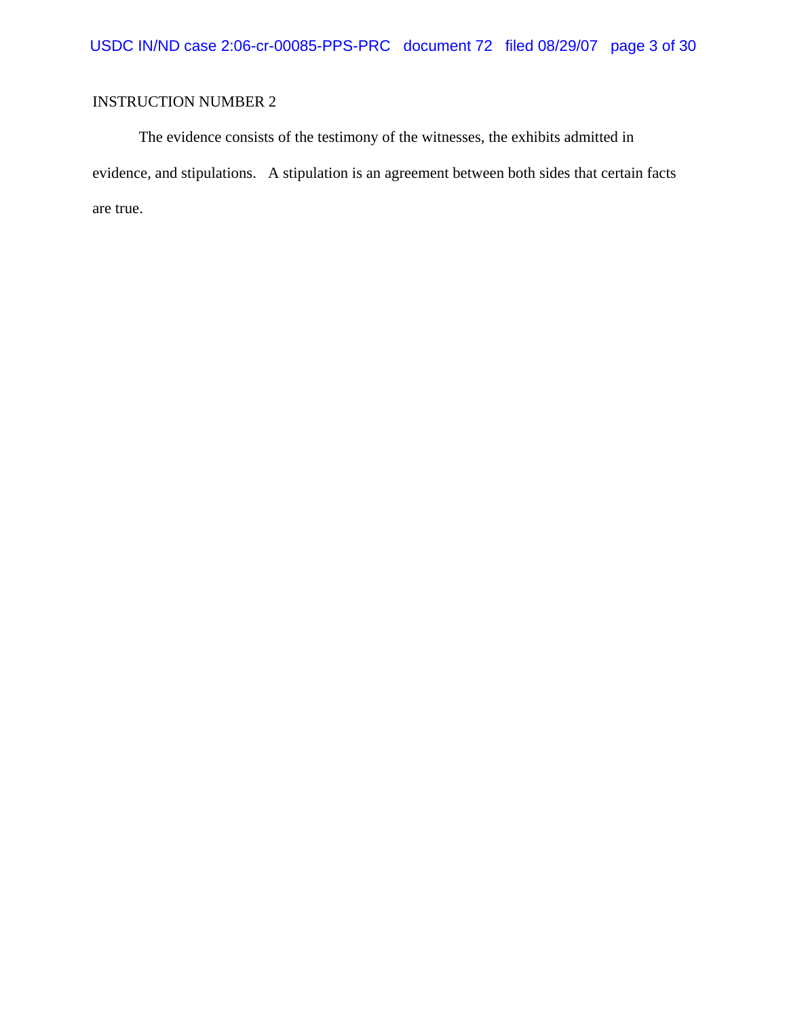The evidence consists of the testimony of the witnesses, the exhibits admitted in evidence, and stipulations. A stipulation is an agreement between both sides that certain facts are true.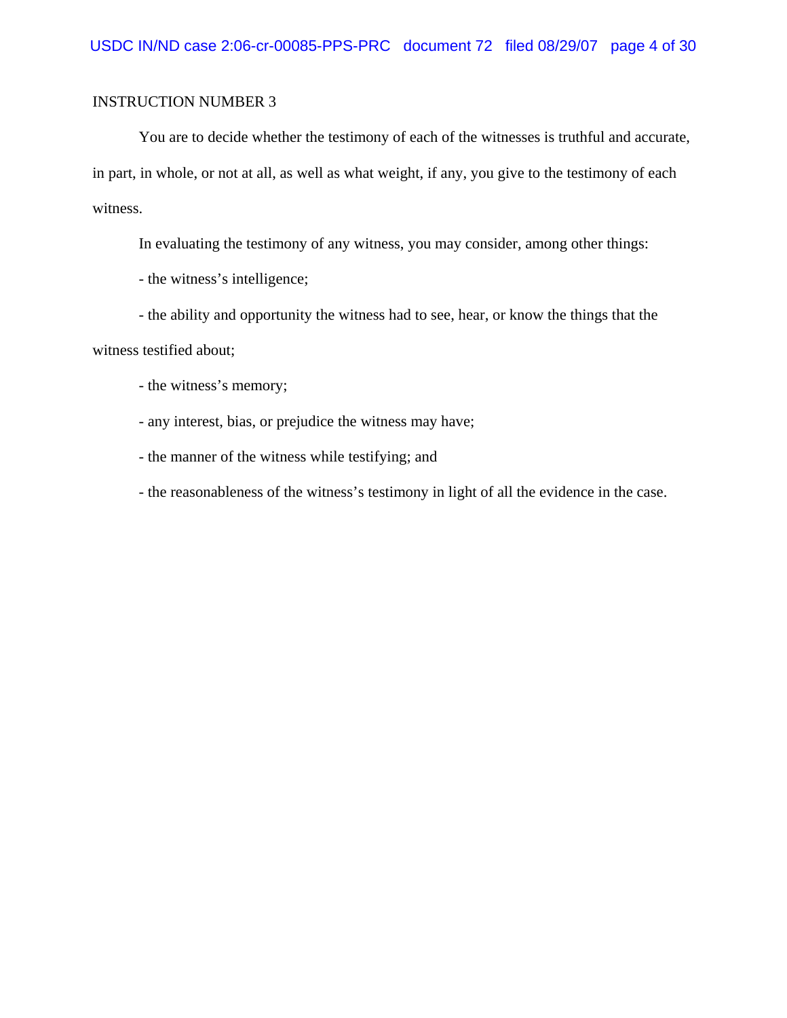You are to decide whether the testimony of each of the witnesses is truthful and accurate, in part, in whole, or not at all, as well as what weight, if any, you give to the testimony of each witness.

In evaluating the testimony of any witness, you may consider, among other things:

- the witness's intelligence;

- the ability and opportunity the witness had to see, hear, or know the things that the

witness testified about;

- the witness's memory;

- any interest, bias, or prejudice the witness may have;

- the manner of the witness while testifying; and

- the reasonableness of the witness's testimony in light of all the evidence in the case.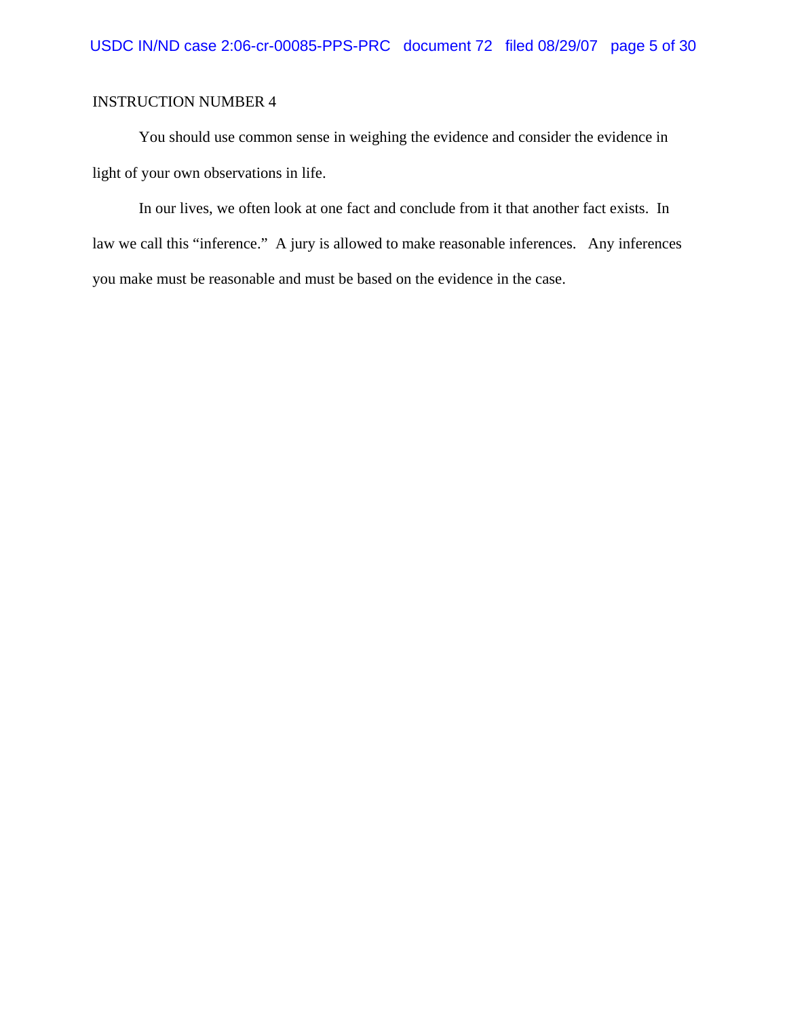You should use common sense in weighing the evidence and consider the evidence in light of your own observations in life.

In our lives, we often look at one fact and conclude from it that another fact exists. In law we call this "inference." A jury is allowed to make reasonable inferences. Any inferences you make must be reasonable and must be based on the evidence in the case.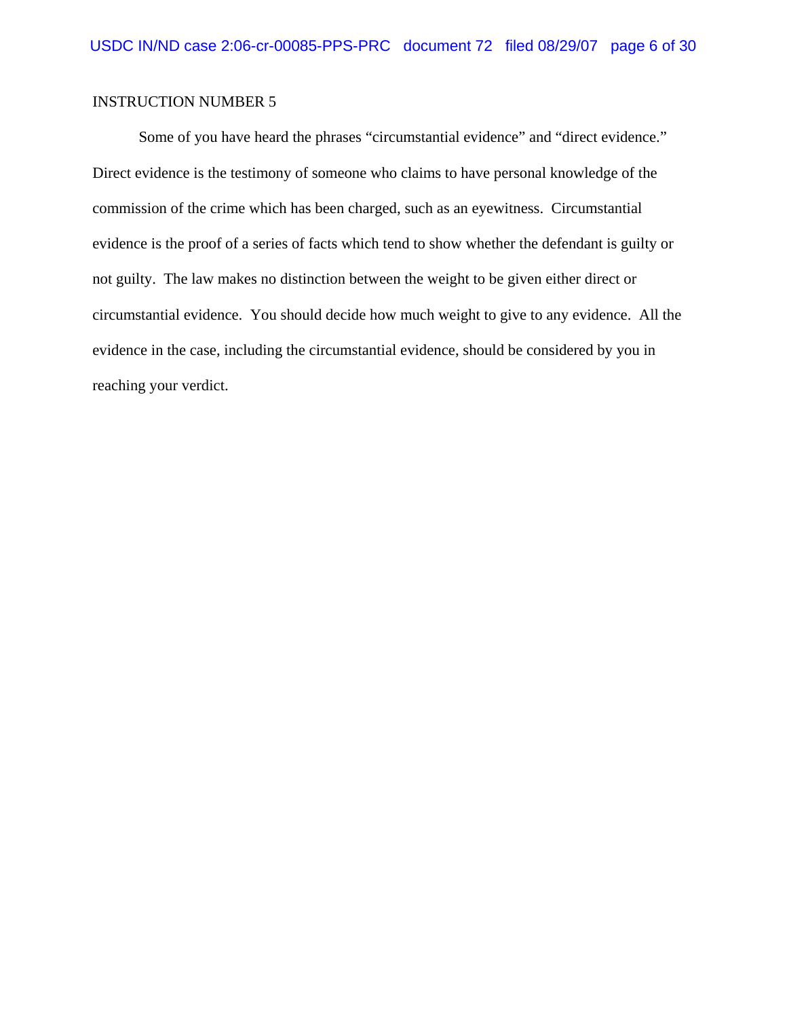Some of you have heard the phrases "circumstantial evidence" and "direct evidence." Direct evidence is the testimony of someone who claims to have personal knowledge of the commission of the crime which has been charged, such as an eyewitness. Circumstantial evidence is the proof of a series of facts which tend to show whether the defendant is guilty or not guilty. The law makes no distinction between the weight to be given either direct or circumstantial evidence. You should decide how much weight to give to any evidence. All the evidence in the case, including the circumstantial evidence, should be considered by you in reaching your verdict.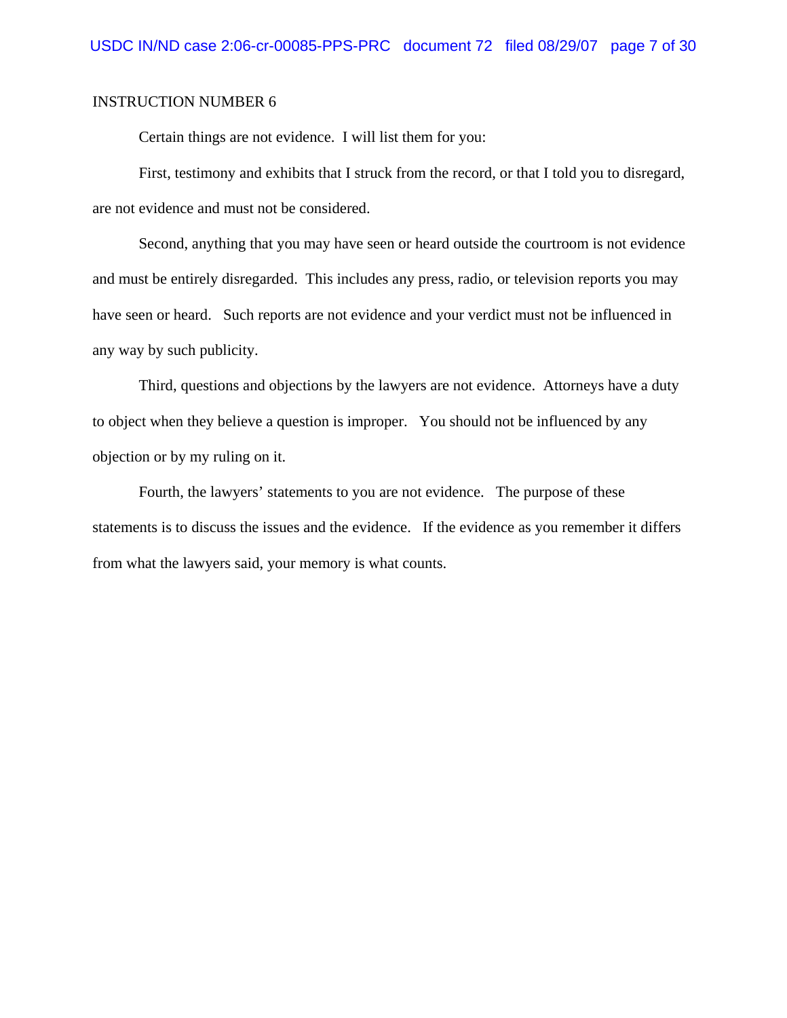Certain things are not evidence. I will list them for you:

First, testimony and exhibits that I struck from the record, or that I told you to disregard, are not evidence and must not be considered.

Second, anything that you may have seen or heard outside the courtroom is not evidence and must be entirely disregarded. This includes any press, radio, or television reports you may have seen or heard. Such reports are not evidence and your verdict must not be influenced in any way by such publicity.

Third, questions and objections by the lawyers are not evidence. Attorneys have a duty to object when they believe a question is improper. You should not be influenced by any objection or by my ruling on it.

Fourth, the lawyers' statements to you are not evidence. The purpose of these statements is to discuss the issues and the evidence. If the evidence as you remember it differs from what the lawyers said, your memory is what counts.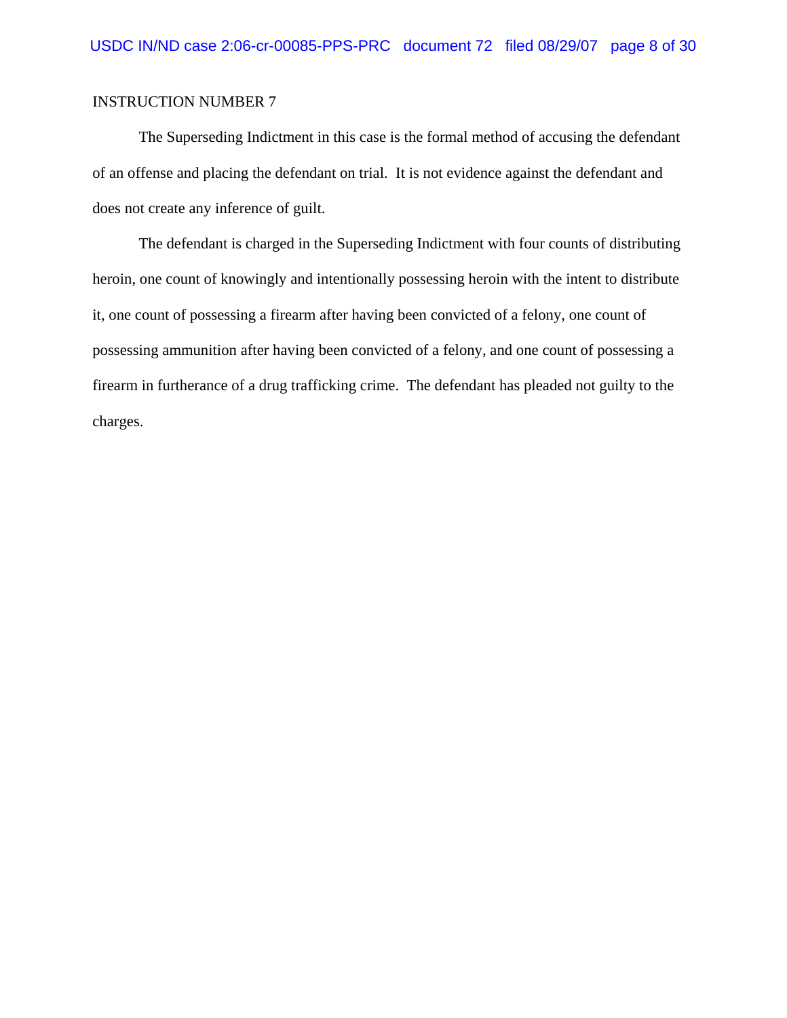The Superseding Indictment in this case is the formal method of accusing the defendant of an offense and placing the defendant on trial. It is not evidence against the defendant and does not create any inference of guilt.

The defendant is charged in the Superseding Indictment with four counts of distributing heroin, one count of knowingly and intentionally possessing heroin with the intent to distribute it, one count of possessing a firearm after having been convicted of a felony, one count of possessing ammunition after having been convicted of a felony, and one count of possessing a firearm in furtherance of a drug trafficking crime. The defendant has pleaded not guilty to the charges.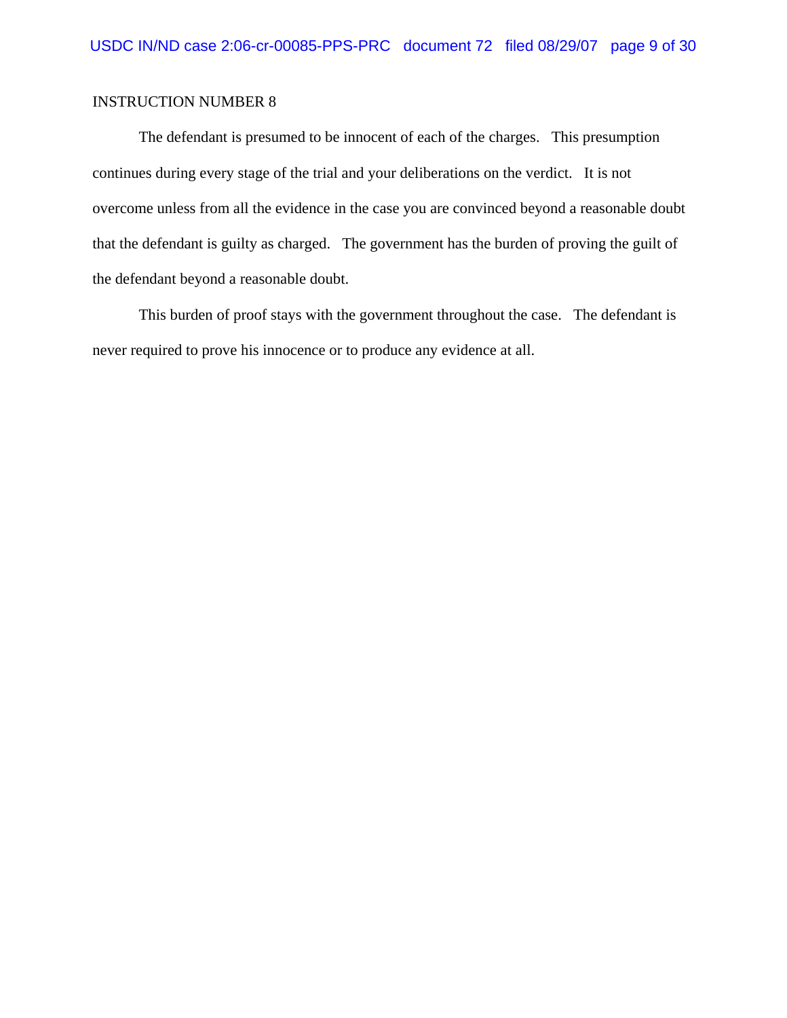The defendant is presumed to be innocent of each of the charges. This presumption continues during every stage of the trial and your deliberations on the verdict. It is not overcome unless from all the evidence in the case you are convinced beyond a reasonable doubt that the defendant is guilty as charged. The government has the burden of proving the guilt of the defendant beyond a reasonable doubt.

This burden of proof stays with the government throughout the case. The defendant is never required to prove his innocence or to produce any evidence at all.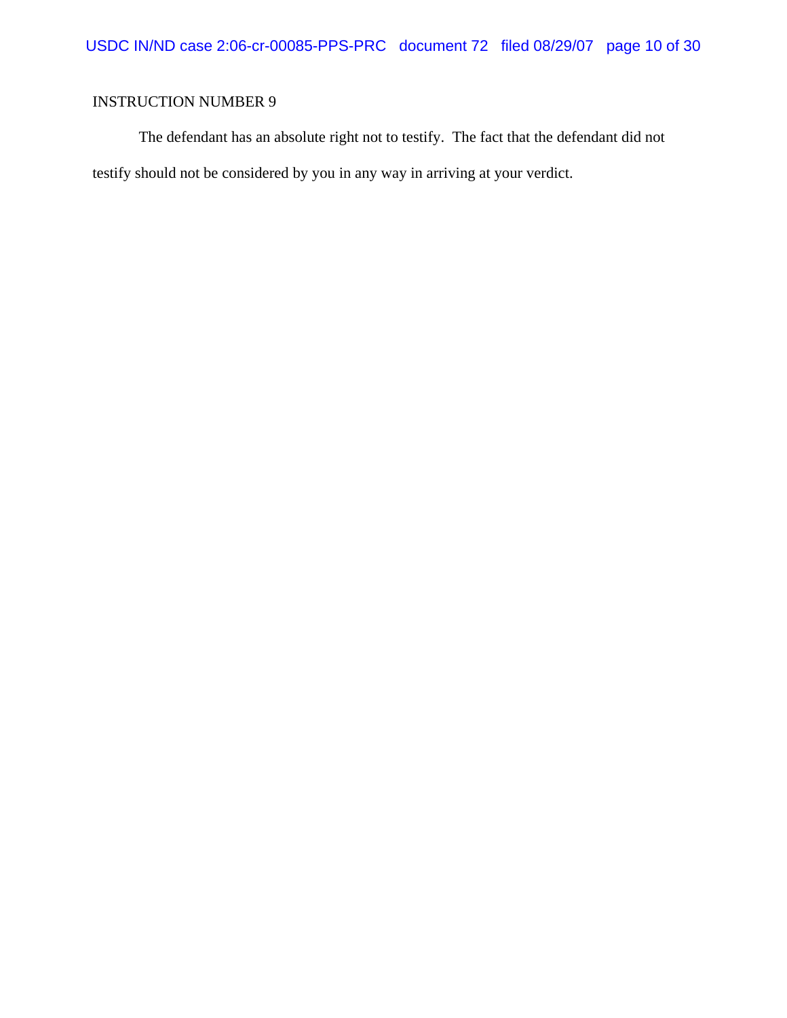The defendant has an absolute right not to testify. The fact that the defendant did not testify should not be considered by you in any way in arriving at your verdict.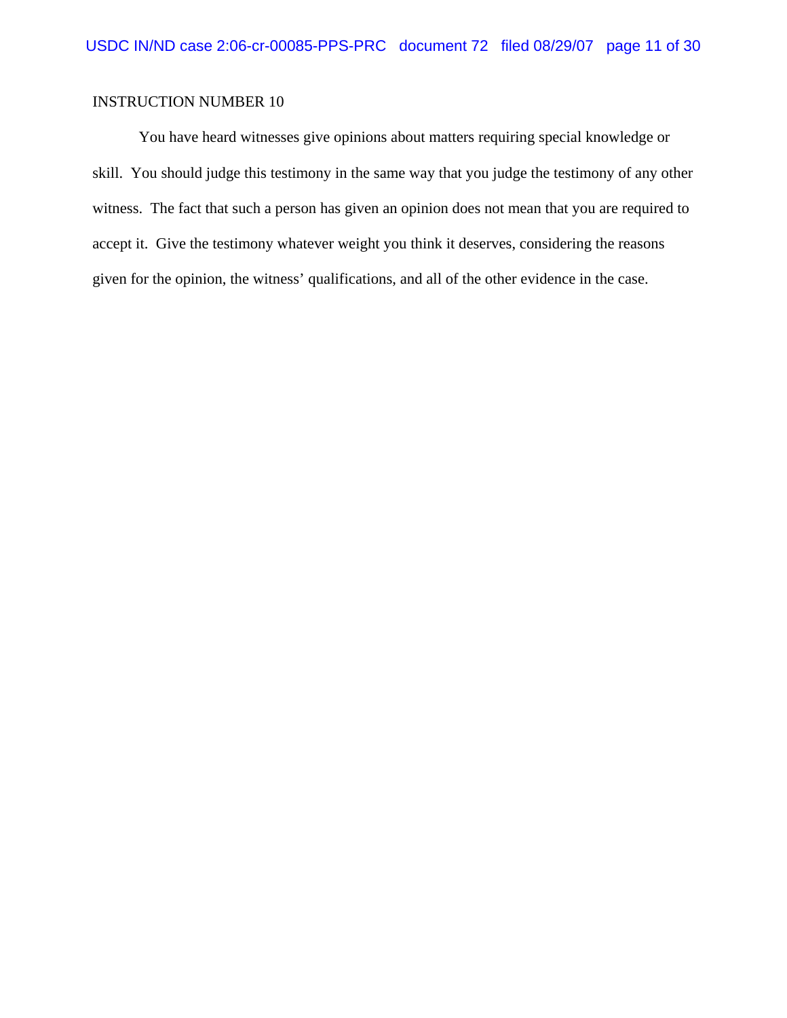You have heard witnesses give opinions about matters requiring special knowledge or skill. You should judge this testimony in the same way that you judge the testimony of any other witness. The fact that such a person has given an opinion does not mean that you are required to accept it. Give the testimony whatever weight you think it deserves, considering the reasons given for the opinion, the witness' qualifications, and all of the other evidence in the case.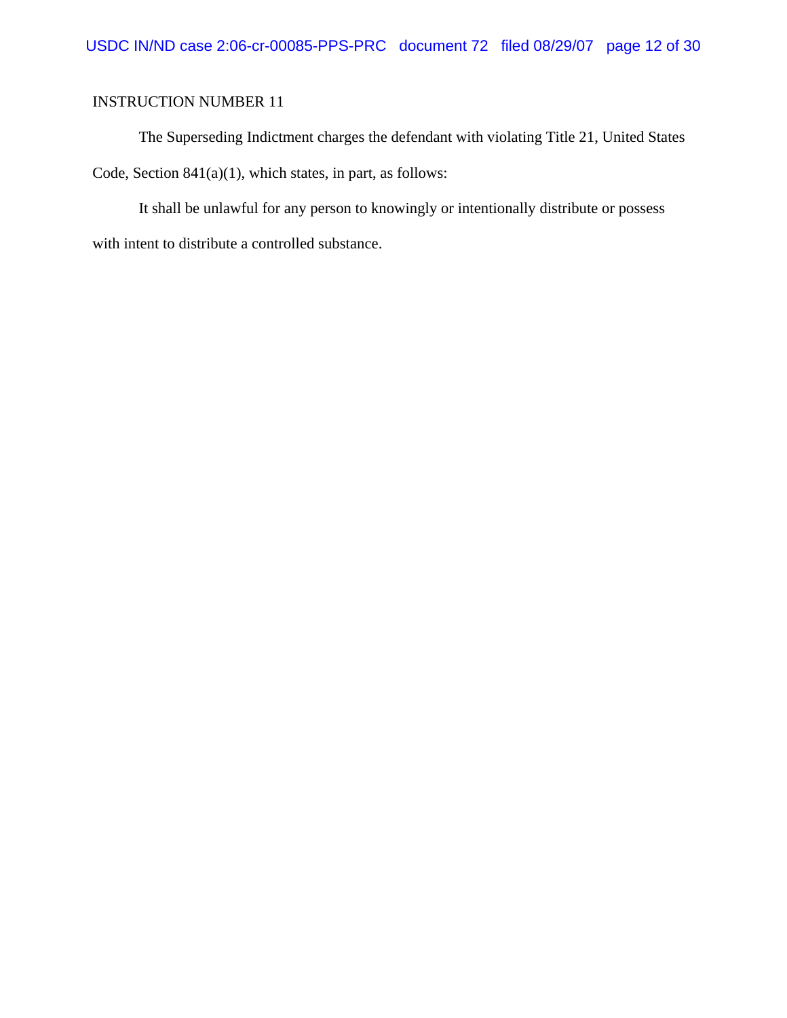The Superseding Indictment charges the defendant with violating Title 21, United States Code, Section 841(a)(1), which states, in part, as follows:

It shall be unlawful for any person to knowingly or intentionally distribute or possess with intent to distribute a controlled substance.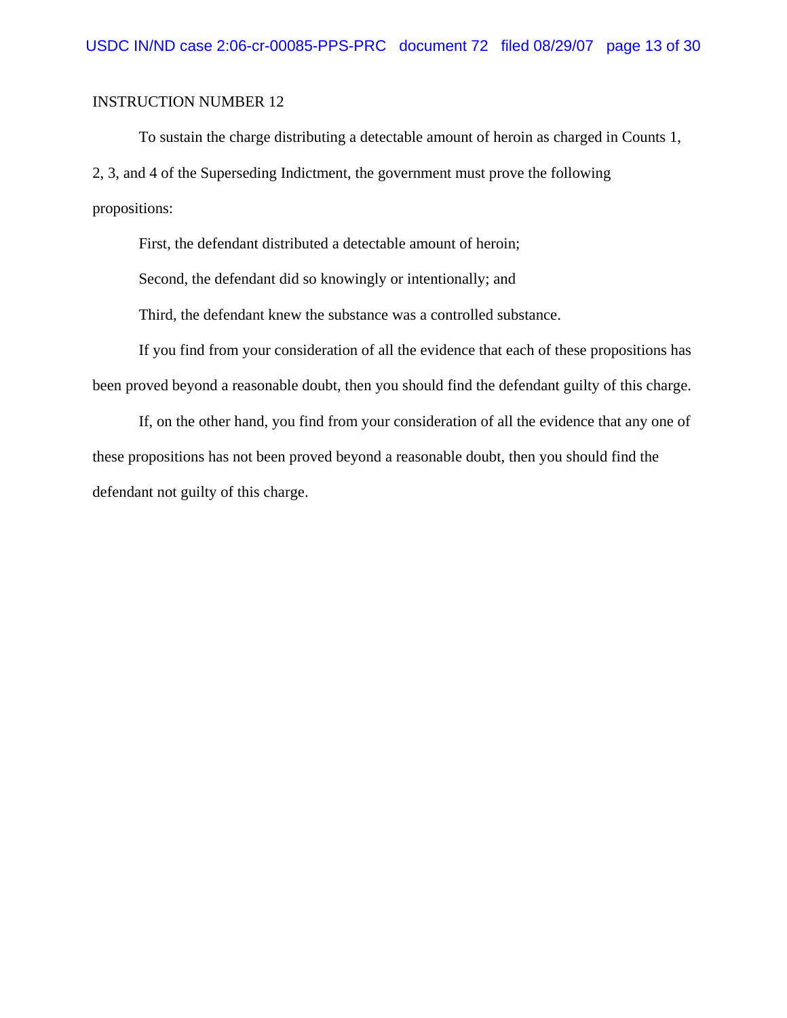To sustain the charge distributing a detectable amount of heroin as charged in Counts 1, 2, 3, and 4 of the Superseding Indictment, the government must prove the following propositions:

First, the defendant distributed a detectable amount of heroin;

Second, the defendant did so knowingly or intentionally; and

Third, the defendant knew the substance was a controlled substance.

If you find from your consideration of all the evidence that each of these propositions has been proved beyond a reasonable doubt, then you should find the defendant guilty of this charge.

If, on the other hand, you find from your consideration of all the evidence that any one of these propositions has not been proved beyond a reasonable doubt, then you should find the defendant not guilty of this charge.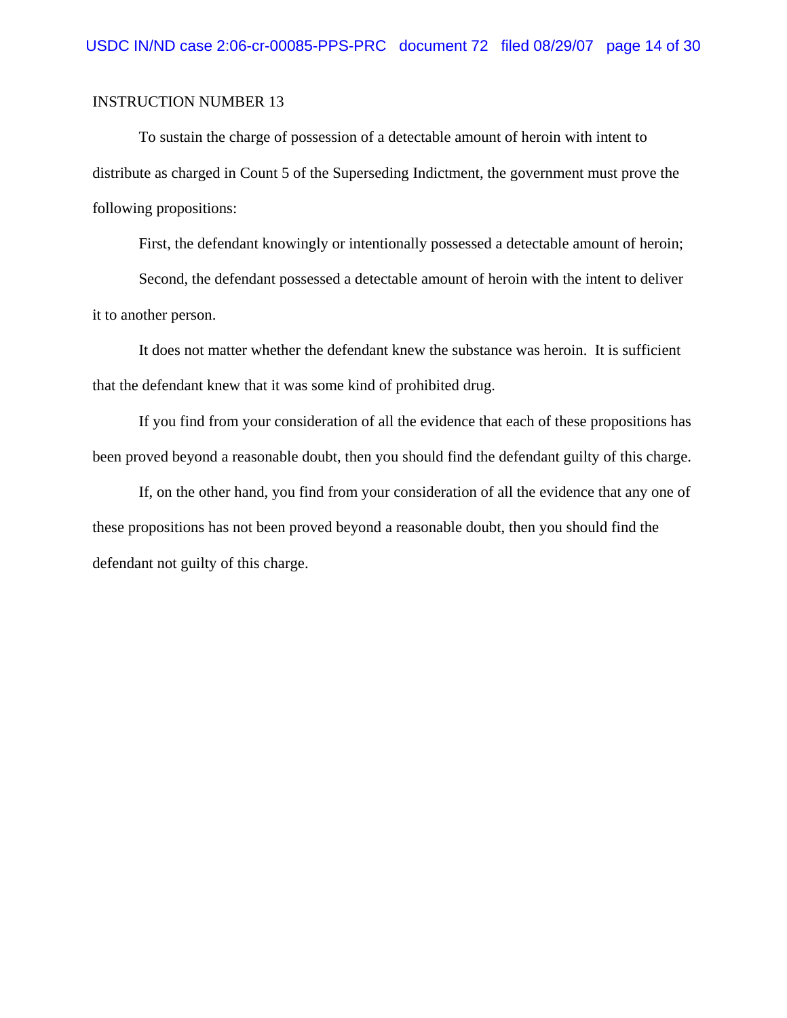To sustain the charge of possession of a detectable amount of heroin with intent to distribute as charged in Count 5 of the Superseding Indictment, the government must prove the following propositions:

First, the defendant knowingly or intentionally possessed a detectable amount of heroin;

Second, the defendant possessed a detectable amount of heroin with the intent to deliver it to another person.

It does not matter whether the defendant knew the substance was heroin. It is sufficient that the defendant knew that it was some kind of prohibited drug.

If you find from your consideration of all the evidence that each of these propositions has been proved beyond a reasonable doubt, then you should find the defendant guilty of this charge.

If, on the other hand, you find from your consideration of all the evidence that any one of these propositions has not been proved beyond a reasonable doubt, then you should find the defendant not guilty of this charge.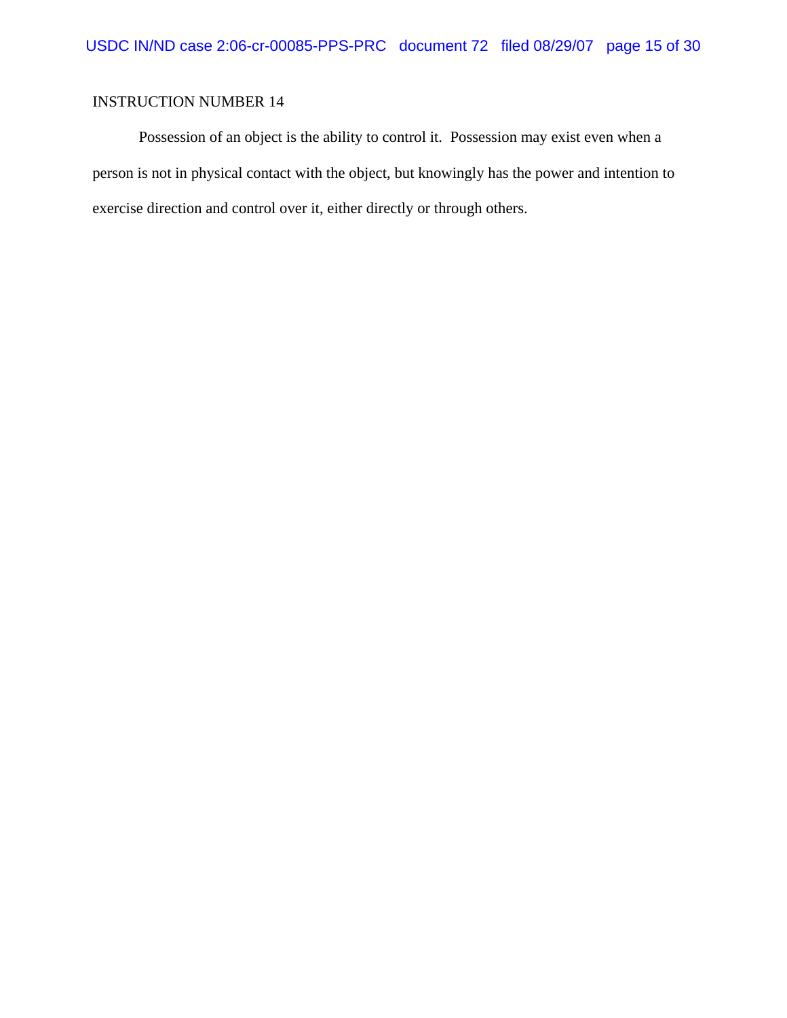Possession of an object is the ability to control it. Possession may exist even when a person is not in physical contact with the object, but knowingly has the power and intention to exercise direction and control over it, either directly or through others.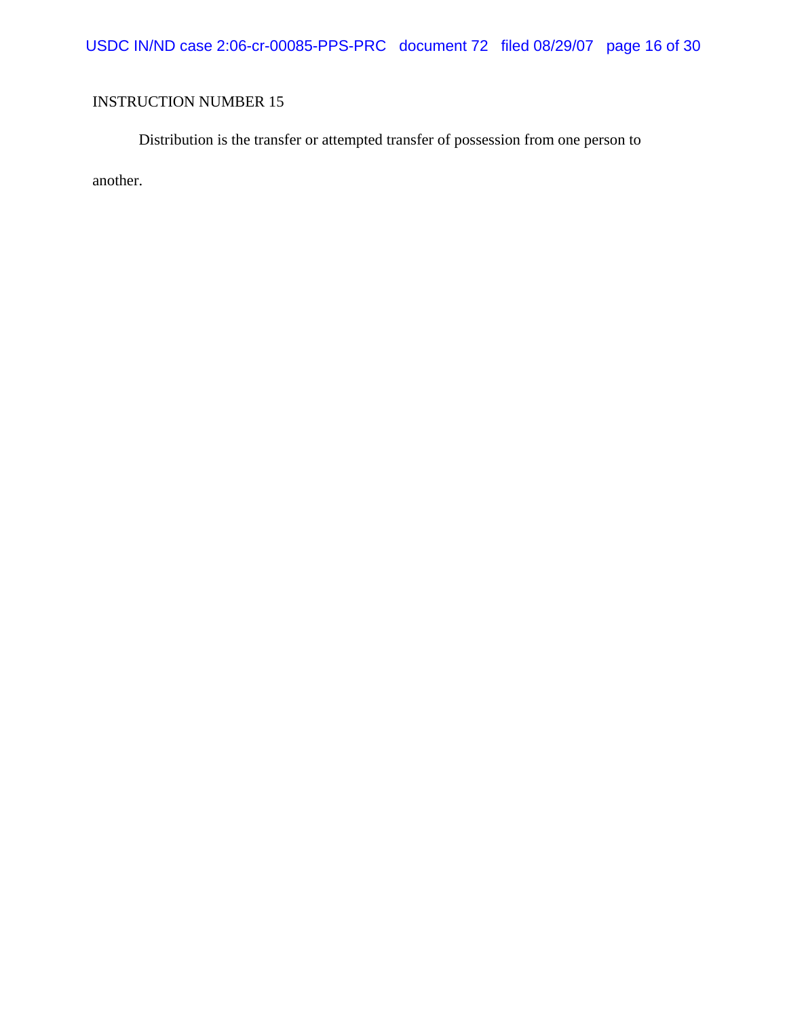USDC IN/ND case 2:06-cr-00085-PPS-PRC document 72 filed 08/29/07 page 16 of 30

## INSTRUCTION NUMBER 15

Distribution is the transfer or attempted transfer of possession from one person to another.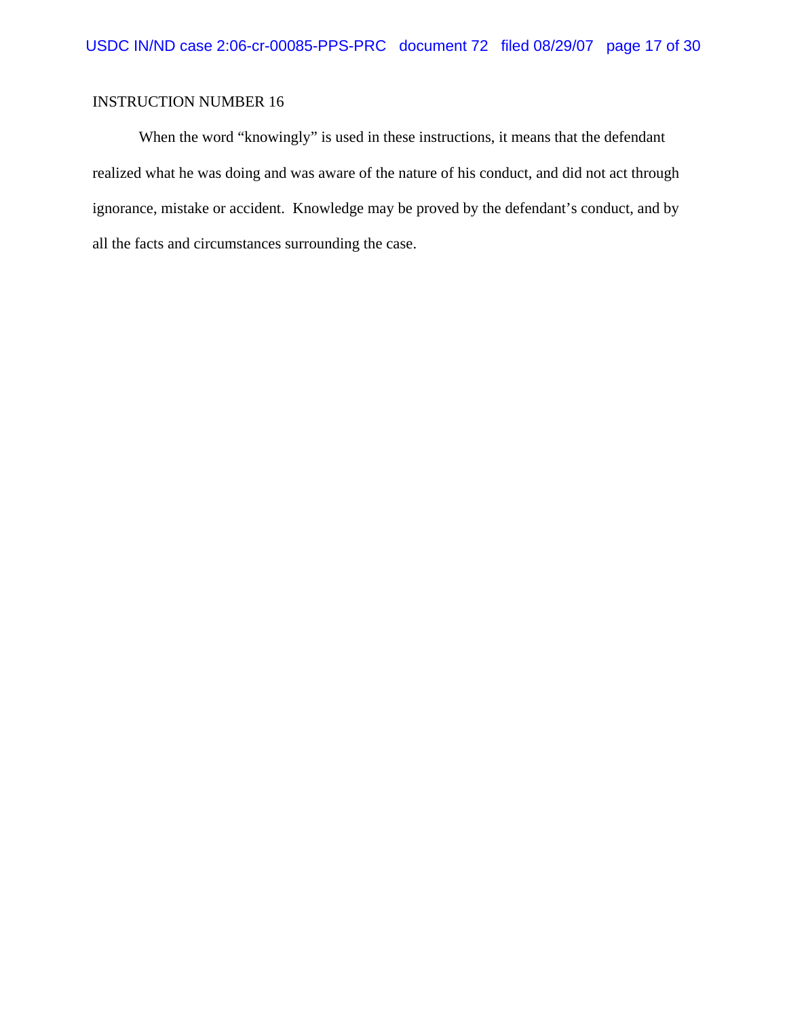When the word "knowingly" is used in these instructions, it means that the defendant realized what he was doing and was aware of the nature of his conduct, and did not act through ignorance, mistake or accident. Knowledge may be proved by the defendant's conduct, and by all the facts and circumstances surrounding the case.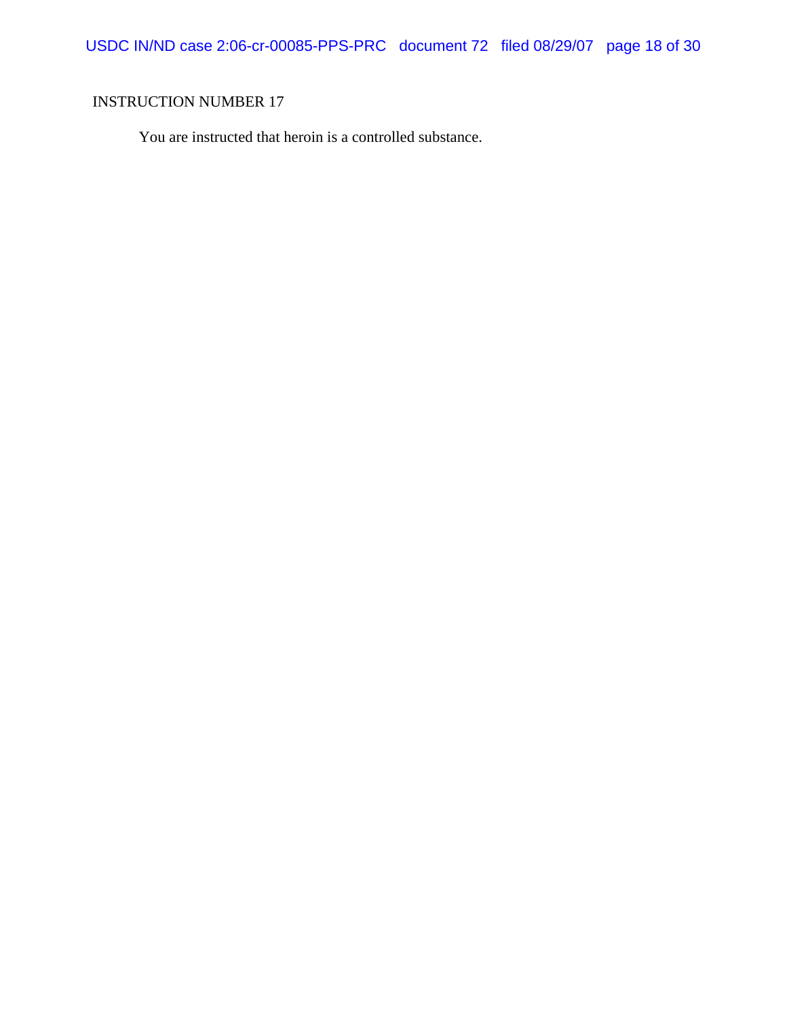USDC IN/ND case 2:06-cr-00085-PPS-PRC document 72 filed 08/29/07 page 18 of 30

## INSTRUCTION NUMBER 17

You are instructed that heroin is a controlled substance.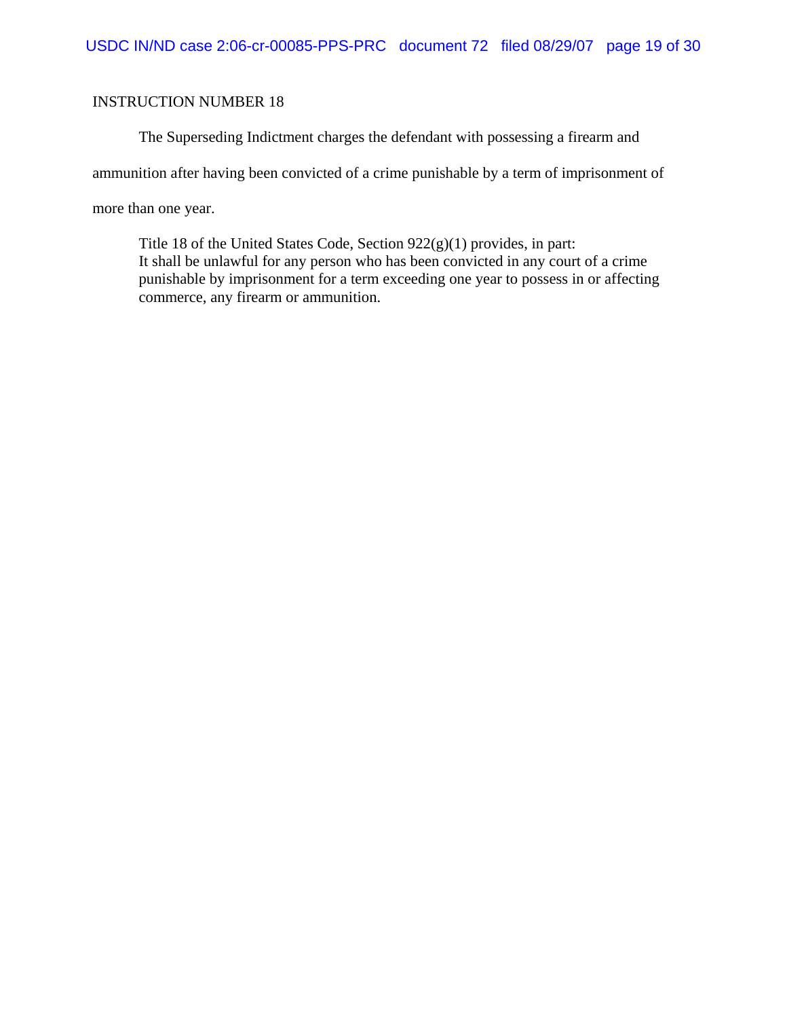The Superseding Indictment charges the defendant with possessing a firearm and

ammunition after having been convicted of a crime punishable by a term of imprisonment of

more than one year.

Title 18 of the United States Code, Section 922(g)(1) provides, in part: It shall be unlawful for any person who has been convicted in any court of a crime punishable by imprisonment for a term exceeding one year to possess in or affecting commerce, any firearm or ammunition.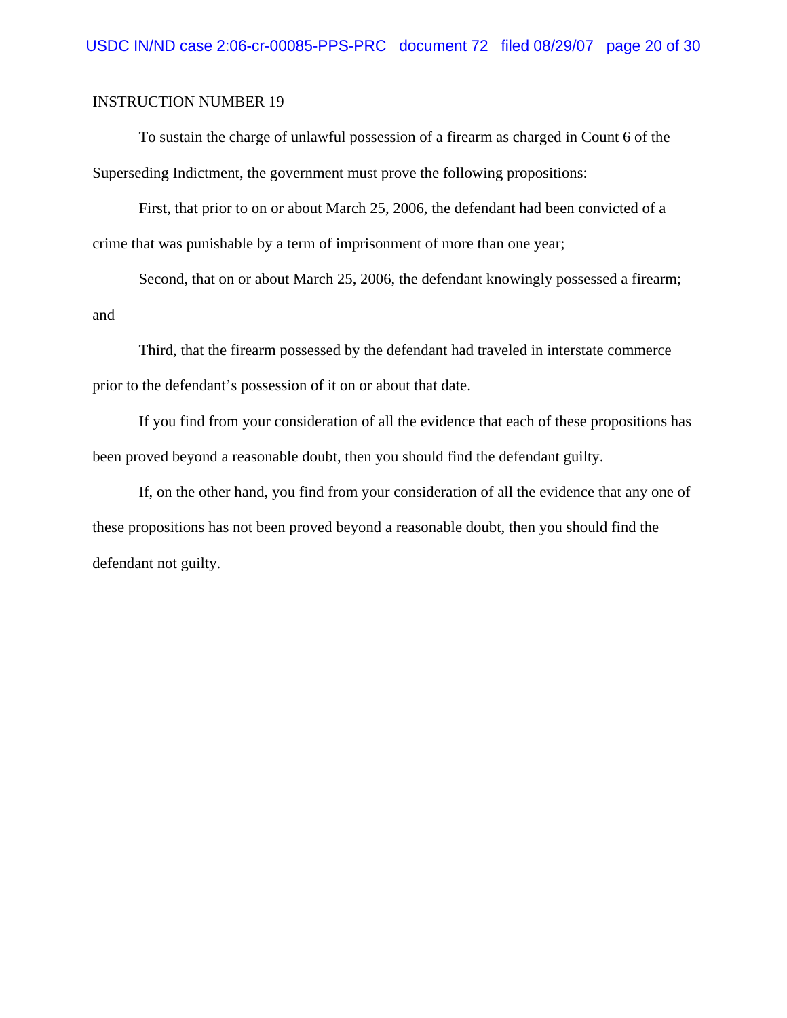To sustain the charge of unlawful possession of a firearm as charged in Count 6 of the Superseding Indictment, the government must prove the following propositions:

First, that prior to on or about March 25, 2006, the defendant had been convicted of a crime that was punishable by a term of imprisonment of more than one year;

Second, that on or about March 25, 2006, the defendant knowingly possessed a firearm; and

Third, that the firearm possessed by the defendant had traveled in interstate commerce prior to the defendant's possession of it on or about that date.

If you find from your consideration of all the evidence that each of these propositions has been proved beyond a reasonable doubt, then you should find the defendant guilty.

If, on the other hand, you find from your consideration of all the evidence that any one of these propositions has not been proved beyond a reasonable doubt, then you should find the defendant not guilty.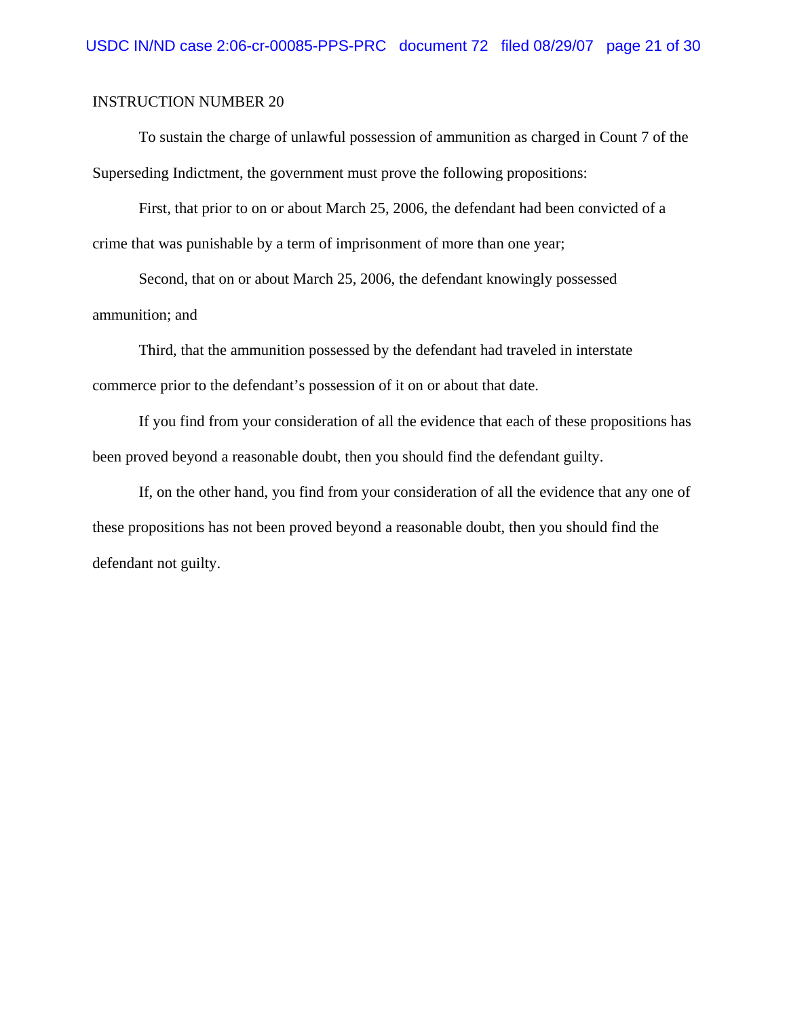To sustain the charge of unlawful possession of ammunition as charged in Count 7 of the Superseding Indictment, the government must prove the following propositions:

First, that prior to on or about March 25, 2006, the defendant had been convicted of a crime that was punishable by a term of imprisonment of more than one year;

Second, that on or about March 25, 2006, the defendant knowingly possessed ammunition; and

Third, that the ammunition possessed by the defendant had traveled in interstate commerce prior to the defendant's possession of it on or about that date.

If you find from your consideration of all the evidence that each of these propositions has been proved beyond a reasonable doubt, then you should find the defendant guilty.

If, on the other hand, you find from your consideration of all the evidence that any one of these propositions has not been proved beyond a reasonable doubt, then you should find the defendant not guilty.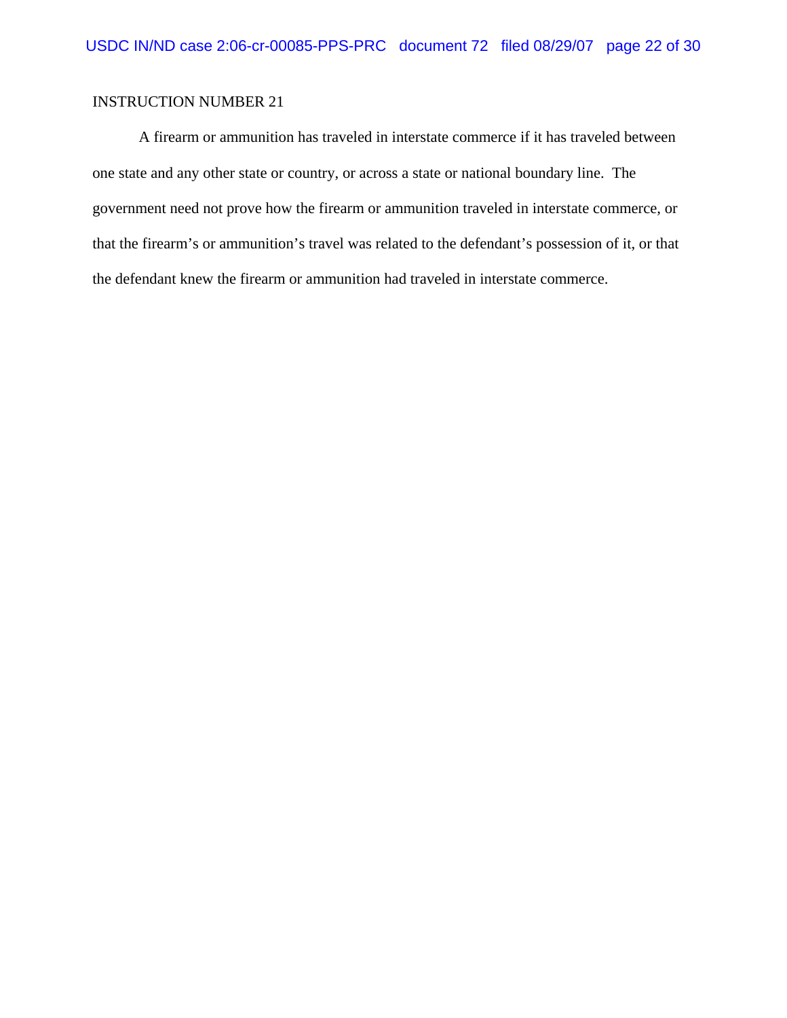A firearm or ammunition has traveled in interstate commerce if it has traveled between one state and any other state or country, or across a state or national boundary line. The government need not prove how the firearm or ammunition traveled in interstate commerce, or that the firearm's or ammunition's travel was related to the defendant's possession of it, or that the defendant knew the firearm or ammunition had traveled in interstate commerce.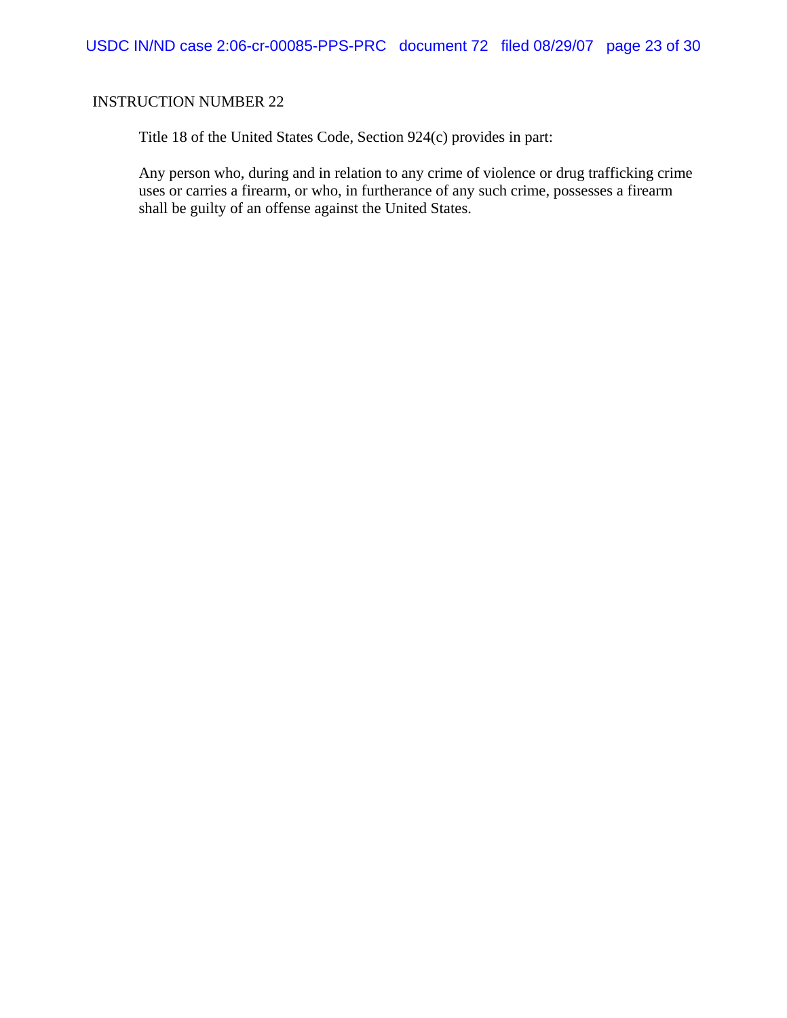Title 18 of the United States Code, Section 924(c) provides in part:

Any person who, during and in relation to any crime of violence or drug trafficking crime uses or carries a firearm, or who, in furtherance of any such crime, possesses a firearm shall be guilty of an offense against the United States.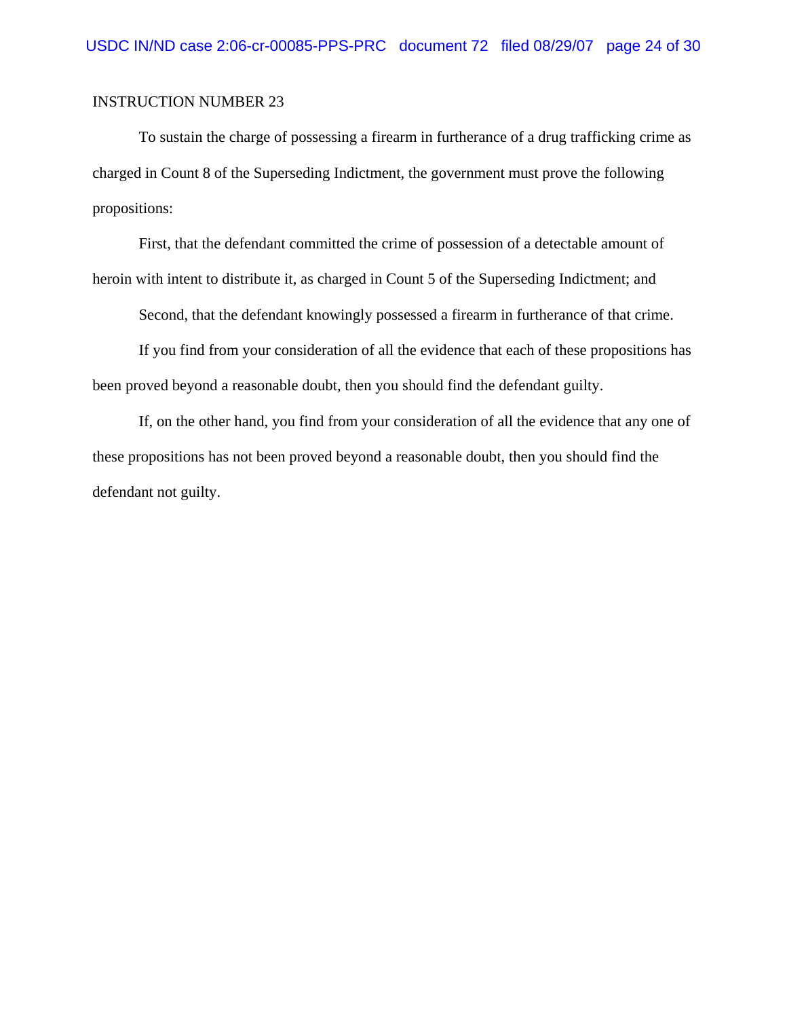To sustain the charge of possessing a firearm in furtherance of a drug trafficking crime as charged in Count 8 of the Superseding Indictment, the government must prove the following propositions:

First, that the defendant committed the crime of possession of a detectable amount of heroin with intent to distribute it, as charged in Count 5 of the Superseding Indictment; and

Second, that the defendant knowingly possessed a firearm in furtherance of that crime.

If you find from your consideration of all the evidence that each of these propositions has been proved beyond a reasonable doubt, then you should find the defendant guilty.

If, on the other hand, you find from your consideration of all the evidence that any one of these propositions has not been proved beyond a reasonable doubt, then you should find the defendant not guilty.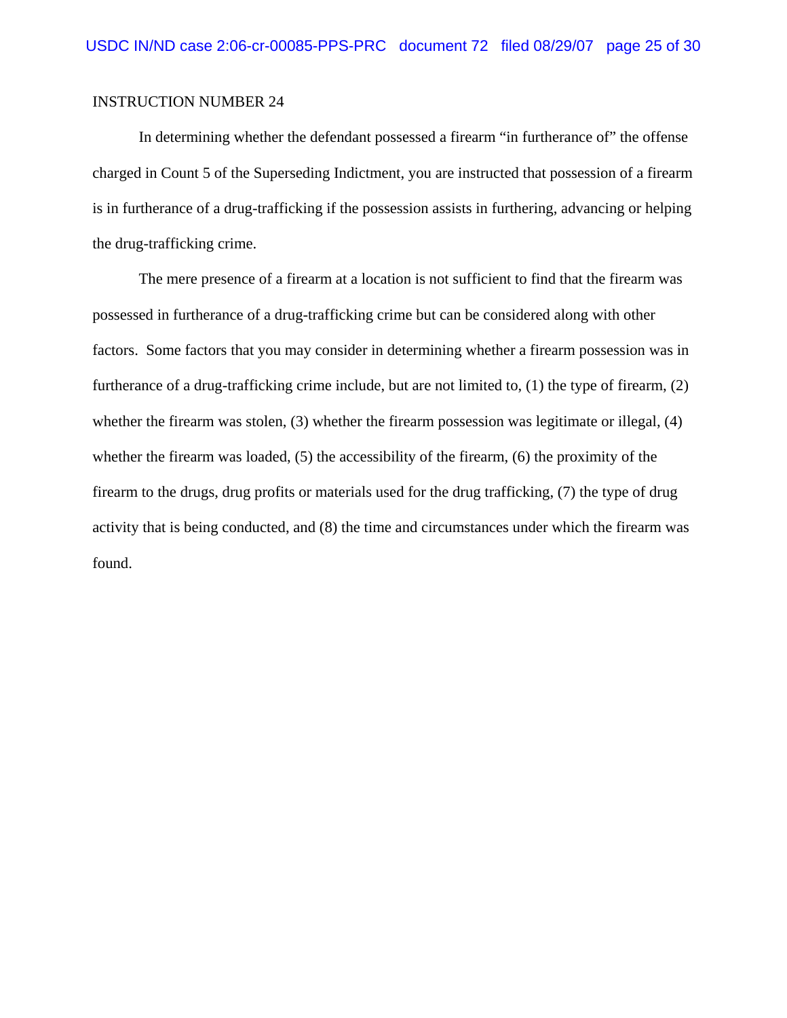In determining whether the defendant possessed a firearm "in furtherance of" the offense charged in Count 5 of the Superseding Indictment, you are instructed that possession of a firearm is in furtherance of a drug-trafficking if the possession assists in furthering, advancing or helping the drug-trafficking crime.

The mere presence of a firearm at a location is not sufficient to find that the firearm was possessed in furtherance of a drug-trafficking crime but can be considered along with other factors. Some factors that you may consider in determining whether a firearm possession was in furtherance of a drug-trafficking crime include, but are not limited to, (1) the type of firearm, (2) whether the firearm was stolen, (3) whether the firearm possession was legitimate or illegal, (4) whether the firearm was loaded, (5) the accessibility of the firearm, (6) the proximity of the firearm to the drugs, drug profits or materials used for the drug trafficking, (7) the type of drug activity that is being conducted, and (8) the time and circumstances under which the firearm was found.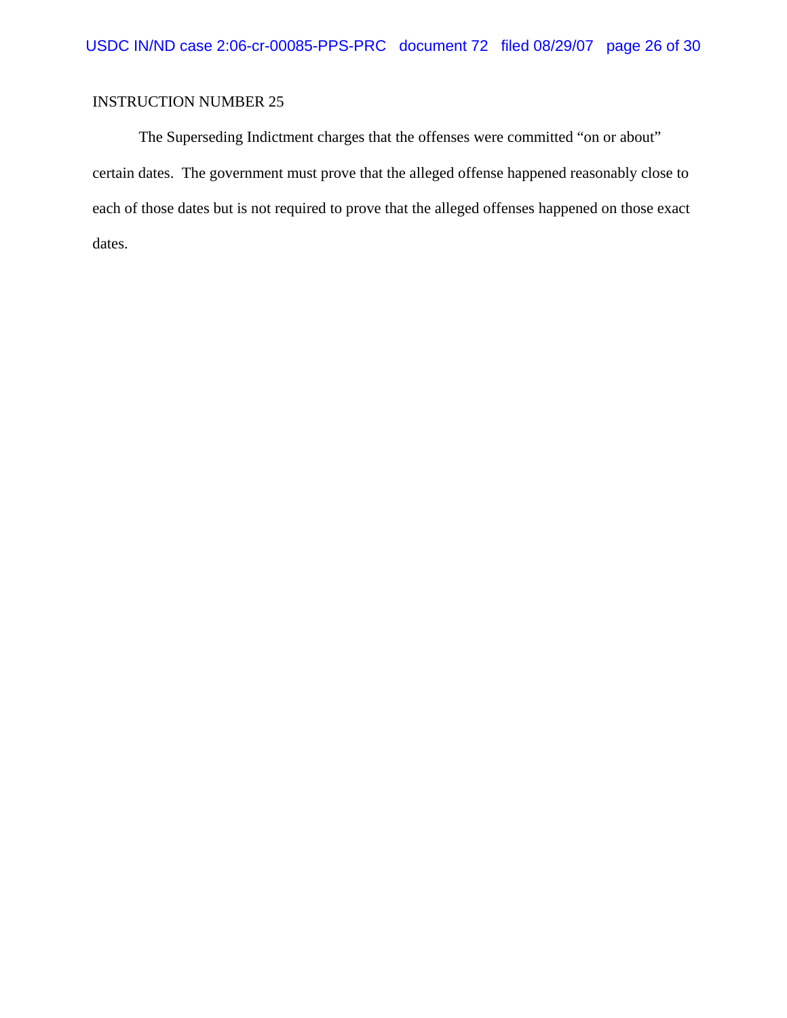The Superseding Indictment charges that the offenses were committed "on or about" certain dates. The government must prove that the alleged offense happened reasonably close to each of those dates but is not required to prove that the alleged offenses happened on those exact dates.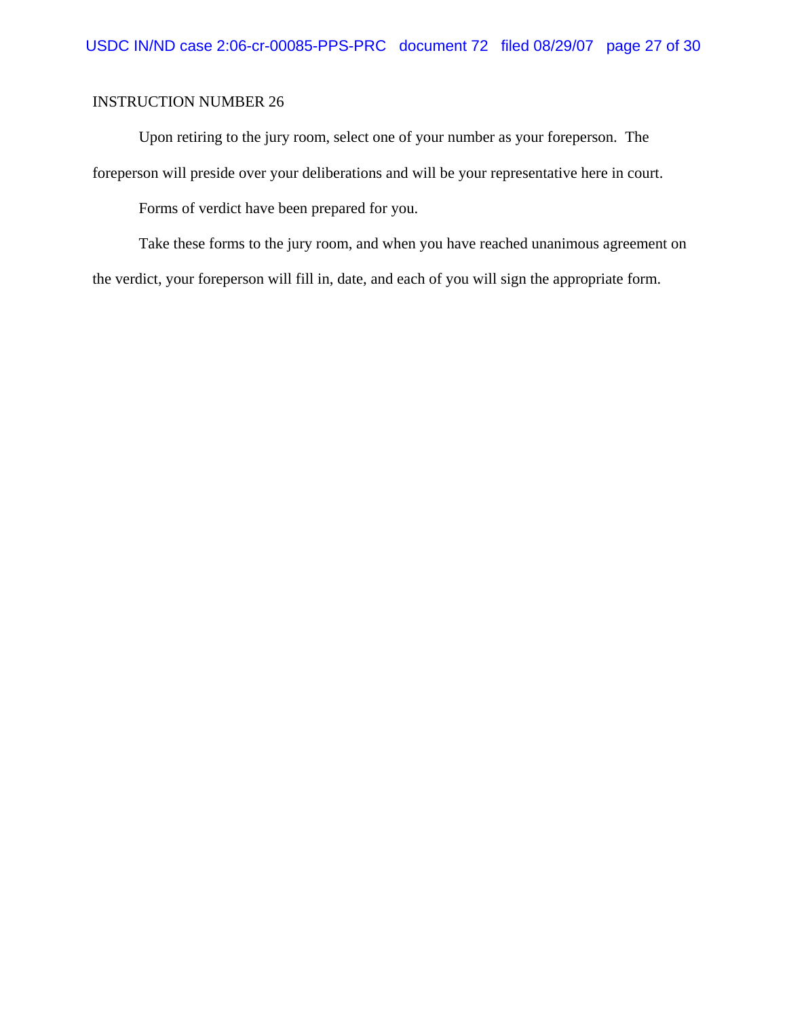Upon retiring to the jury room, select one of your number as your foreperson. The foreperson will preside over your deliberations and will be your representative here in court.

Forms of verdict have been prepared for you.

Take these forms to the jury room, and when you have reached unanimous agreement on the verdict, your foreperson will fill in, date, and each of you will sign the appropriate form.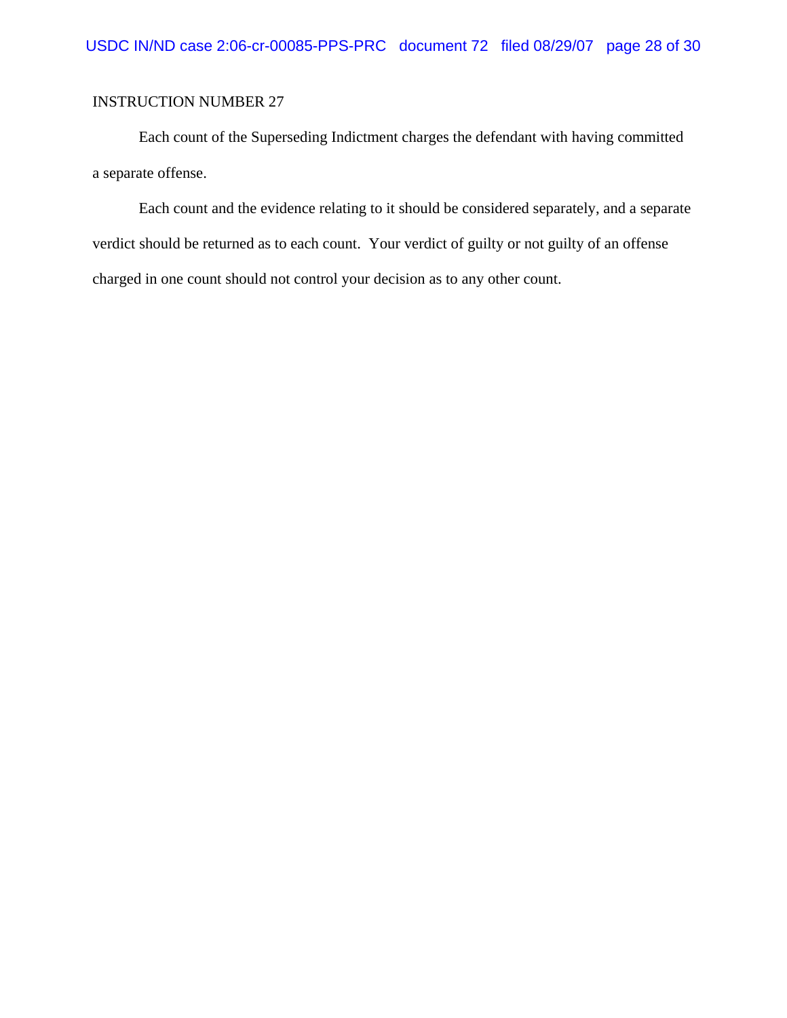Each count of the Superseding Indictment charges the defendant with having committed a separate offense.

Each count and the evidence relating to it should be considered separately, and a separate verdict should be returned as to each count. Your verdict of guilty or not guilty of an offense charged in one count should not control your decision as to any other count.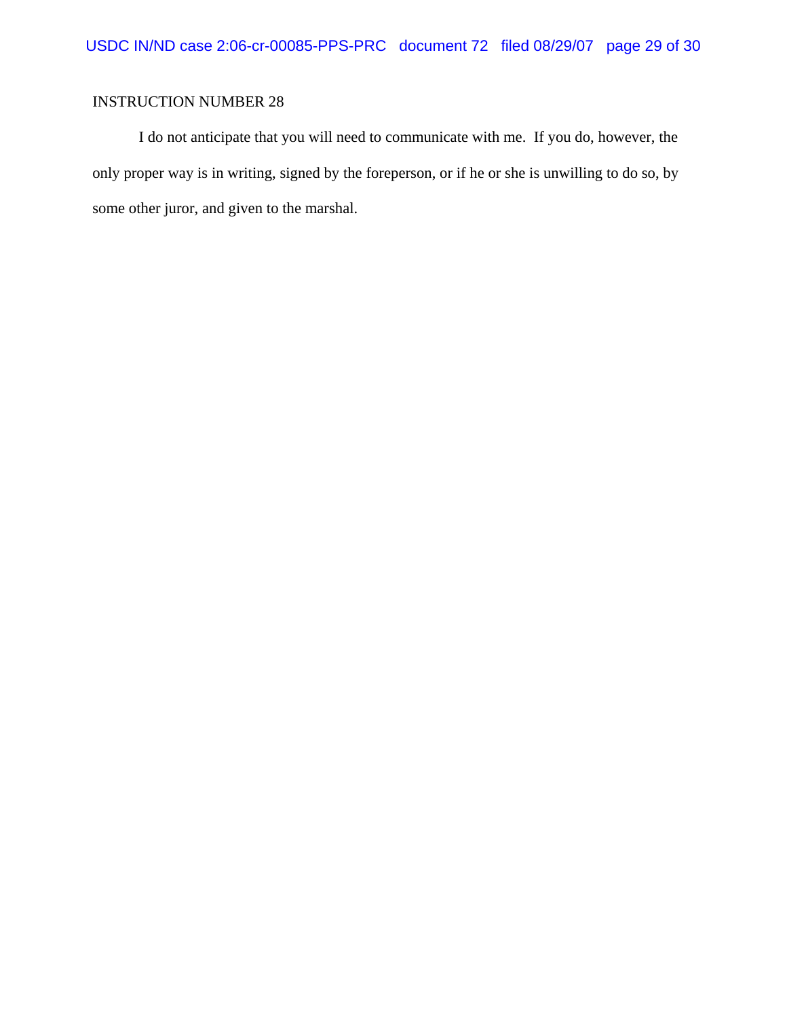I do not anticipate that you will need to communicate with me. If you do, however, the only proper way is in writing, signed by the foreperson, or if he or she is unwilling to do so, by some other juror, and given to the marshal.